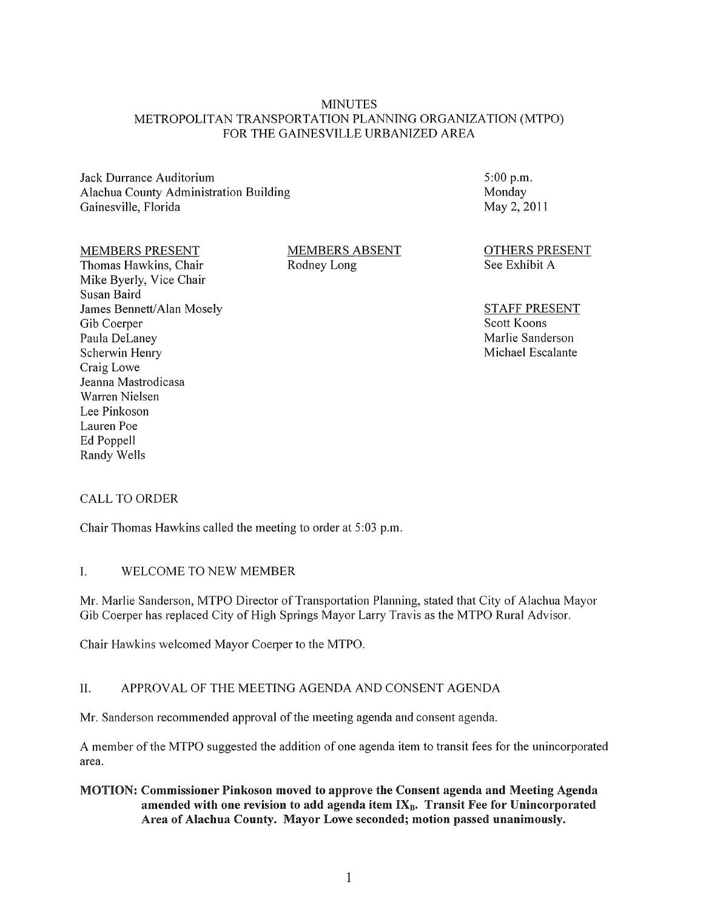## MINUTES METROPOLITAN TRANSPORTATION PLANNING ORGANIZATION (MTPO) FOR THE GAINESVILLE URBANIZED AREA

Jack Durrance Auditorium Alachua County Administration Building Gainesville, Florida

5:00 p.m. Monday May 2,2011

#### MEMBERS PRESENT

Thomas Hawkins, Chair Mike Byerly, Vice Chair Susan Baird James Bennett/Alan Mosely Gib Coerper Paula DeLaney Scherwin Henry Craig Lowe Jeanna Mastrodicasa Warren Nielsen Lee Pinkoson Lauren Poe Ed Poppell Randy Wells

MEMBERS ABSENT Rodney Long

OTHERS PRESENT See Exhibit A

STAFF PRESENT Scott Koons Marlie Sanderson Michael Escalante

## CALL TO ORDER

Chair Thomas Hawkins called the meeting to order at 5:03 p.m.

## I. WELCOME TO NEW MEMBER

Mr. Marlie Sanderson, MTPO Director of Transportation Planning, stated that City of Alachua Mayor Gib Coerper has replaced City of High Springs Mayor Larry Travis as the MTPO Rural Advisor.

Chair Hawkins welcomed Mayor Coerper to the MTPO.

## II. APPROVAL OF THE MEETING AGENDA AND CONSENT AGENDA

Mr. Sanderson recommended approval of the meeting agenda and consent agenda.

A member of the MTPO suggested the addition of one agenda item to transit fees for the unincorporated area.

MOTION: Commissioner Pinkoson moved to approve the Consent agenda and Meeting Agenda amended with one revision to add agenda item  $IX_B$ . Transit Fee for Unincorporated Area of Alachua County. Mayor Lowe seconded; motion passed unanimously.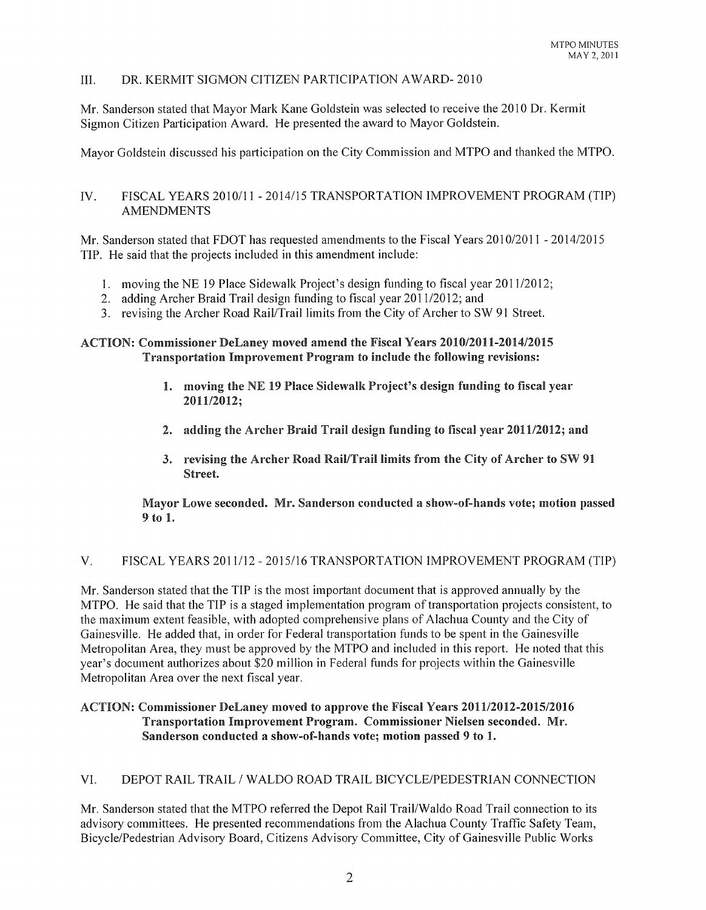# III. DR. KERMIT SIGMON CITIZEN PARTICIPATION AWARD- 2010

Mr. Sanderson stated that Mayor Mark Kane Goldstein was selected to receive the 2010 Dr. Kermit Sigmon Citizen Participation Award. He presented the award to Mayor Goldstein.

Mayor Goldstein discussed his participation on the City Commission and MTPO and thanked the MTPO.

# IV. FISCAL YEARS 2010/11 - 2014/15 TRANSPORTATION IMPROVEMENT PROGRAM (TIP) AMENDMENTS

Mr. Sanderson stated that FDOT has requested amendments to the Fiscal Years 2010/2011 - 2014/2015 TIP. He said that the projects included in this amendment include:

- 1. moving the NE 19 Place Sidewalk Project's design funding to fiscal year 2011/2012;
- 2. adding Archer Braid Trail design funding to fiscal year 2011/2012; and
- 3. revising the Archer Road Rail/Trail limits from the City of Archer to SW 91 Street.

## ACTION: Commissioner DeLaney moved amend the Fiscal Years 2010/2011-2014/2015 Transportation Improvement Program to include the following revisions:

- 1. moving the NE 19 Place Sidewalk Project's design funding to fiscal yean" 201112012;
- 2. adding the Archer Braid Trail design funding to fiscal year 2011/2012; and
- 3. revising the Archer Road Rail/Trail limits from the City of Archer to SW 91 Street.

Mayor Lowe seconded. Mr. Sanderson conducted a show-of-hands vote; motion passed 9 to 1.

## V. FISCAL YEARS 2011112 - 2015116 TRANSPORTATION IMPROVEMENT PROGRAM (TIP)

Mr. Sanderson stated that the TIP is the most important document that is approved annually by the MTPO. He said that the TIP is a staged implementation program of transportation projects consistent, to the maximum extent feasible, with adopted comprehensive plans of Alachua County and the City of Gainesville. He added that, in order for Federal transportation funds to be spent in the Gainesville Metropolitan Area, they must be approved by the MTPO and included in this report. He noted that this year's document authorizes about \$20 million in Federal funds for projects within the Gainesville Metropolitan Area over the next fiscal year.

# ACTION: Commissioner DeLaney moved to approve the Fiscal Years 2011/2012-2015/2016 Transportation Improvement Program. Commissioner Nielsen seconded. Mr. Sanderson conducted a show-of-hands vote; motion passed 9 to 1.

# VI. DEPOT RAIL TRAIL / WALDO ROAD TRAIL BICYCLE/PEDESTRIAN CONNECTION

Mr. Sanderson stated that the MTPO referred the Depot Rail Trail/Waldo Road Trail connection to its advisory committees. He presented recommendations from the Alachua County Traffic Safety Team, Bicycle/Pedestrian Advisory Board, Citizens Advisory Committee, City of Gainesville Public Works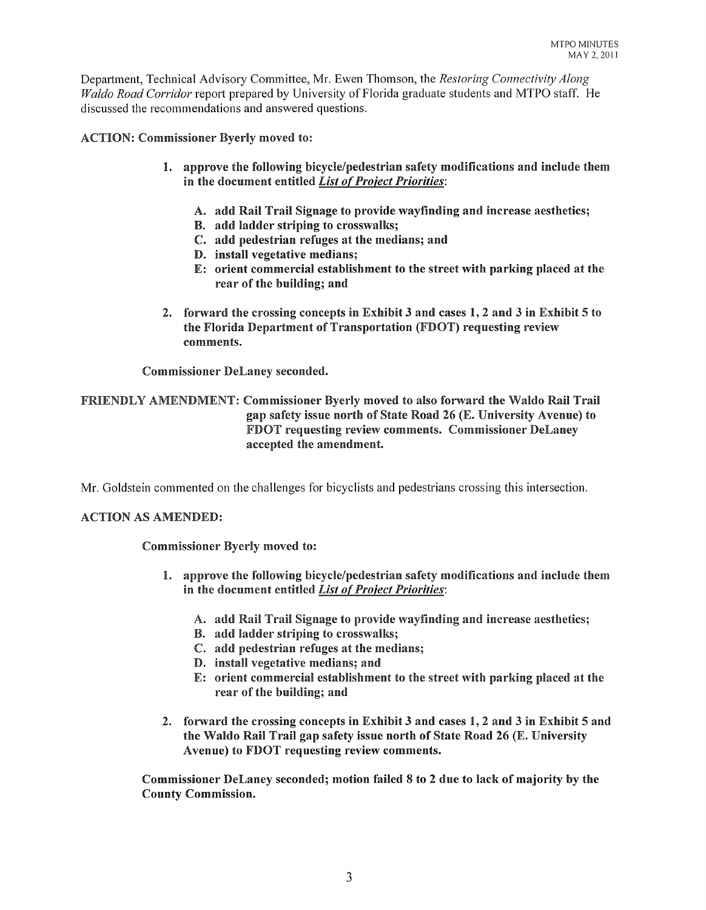Depmiment, Technical Advisory Committee, Mr. Ewen Thomson, the *Restoring Connectivity Along Waldo Road Corridor* report prepared by University of Florida graduate students and MTPO staff. He discussed the recommendations and answered questions.

ACTION: Commissioner Byerly moved to:

- 1. approve the following bicycle/pedestrian safety modifications and include them in the document entitled *List of Project Priorities*:
	- A. add Rail Trail Signage to provide wayfinding and increase aesthetics;
	- B. add ladder striping to crosswalks;
	- C. add pedestrian refuges at the medians; and
	- D. install vegetative medians;
	- E: orient commercial establishment to the street with parking placed at the rear of the building; and
- 2. forward the crossing concepts in Exhibit 3 and cases 1,2 and 3 in Exhibit 5 to the Florida Department of Transportation (FDOT) requesting review comments.

Commissioner DeLaney seconded.

FRIENDLY AMENDMENT: Commissioner Byerly moved to also forward the Waldo Rail Trail gap safety issue north of State Road 26 (E. University Avenue) to FDOT requesting review comments. Commissioner DeLaney accepted the amendment.

Mr. Goldstein commented on the challenges for bicyclists and pedestrians crossing this intersection.

## ACTION AS AMENDED:

Commissioner Byerly moved to:

- 1. approve the following bicycle/pedestrian safety modifications and include them in the document entitled *List of Project Priorities*:
	- A. add Rail Trail Signage to provide wayfinding and increase aesthetics;
	- B. add ladder striping to crosswalks;
	- C. add pedestrian refuges at the medians;
	- D. install vegetative medians; and
	- E: orient commercial establishment to the street with parking placed at the rear of the building; and
- 2. forward the crossing concepts in Exhibit 3 and cases 1, 2 and 3 in Exhibit 5 and the Waldo Rail Trail gap safety issue north of State Road 26 (E. University Avenue) to FDOT requesting review comments.

Commissioner DeLaney seconded; motion failed 8 to 2 due to lack of majority by the County Commission.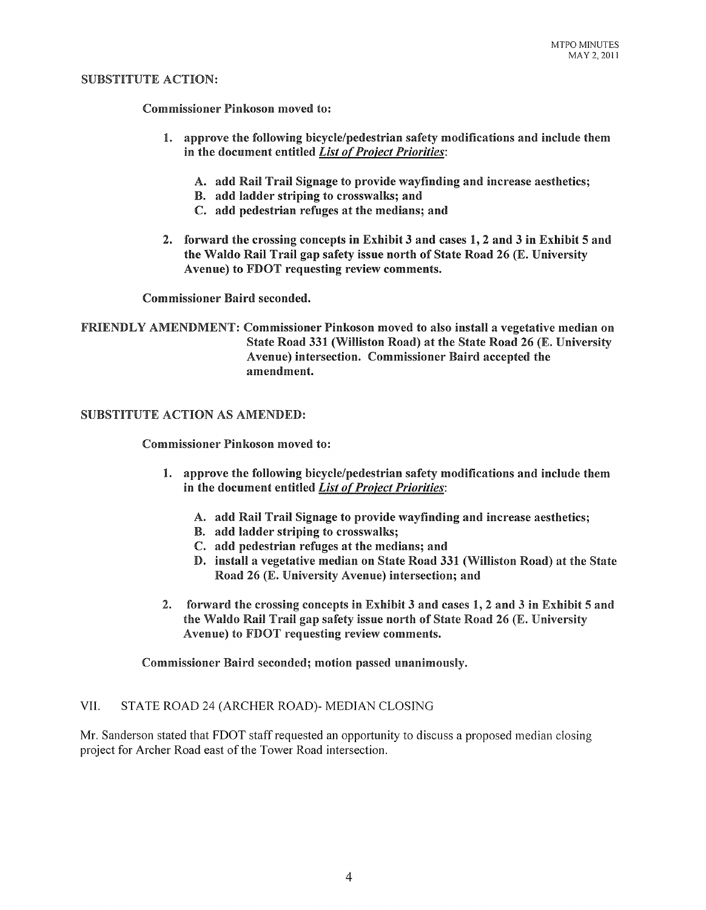#### SUBSTITUTE ACTION:

Commissioner Pinkoson moved to:

- 1. approve the following bicycle/pedestrian safety modifications and include them in the document entitled *List of Project Priorities:* 
	- A. add Rail Trail Signage to provide wayfinding and increase aesthetics;
	- B. add ladder striping to crosswalks; and
	- C. add pedestrian refuges at the medians; and
- 2. forward the crossing concepts in Exhibit 3 and cases 1,2 and 3 in Exhibit 5 and the Waldo Rail Trail gap safety issue north of State Road 26 (E. University Avenue) to FDOT requesting review comments.

Commissioner Baird seconded.

FRIENDLY AMENDMENT: Commissioner Pinkoson moved to also install a vegetative median on State Road 331 (Williston Road) at the State Road 26 (E. University Avenue) intersection. Commissioner Baird accepted the amendment.

## SUBSTITUTE ACTION AS AMENDED:

Commissioner Pinkoson moved to:

- 1. approve the following bicycle/pedestrian safety modifications and include them in the document entitled *List of Project Priorities:* 
	- A. add Rail Trail Signage to provide wayfinding and increase aesthetics;
	- B. add ladder striping to crosswalks;
	- C. add pedestrian refuges at the medians; and
	- D. install a vegetative median on State Road 331 (Williston Road) at the State Road 26 (E. University Avenue) intersection; and
- 2. forward the crossing concepts in Exhibit 3 and cases 1, 2 and 3 in Exhibit 5 and the Waldo Rail Trail gap safety issue north of State Road 26 (E. University Avenue) to FDOT requesting review comments.

Commissioner Baird seconded; motion passed unanimously.

## VII. STATE ROAD 24 (ARCHER ROAD)- MEDIAN CLOSING

Mr. Sanderson stated that FDOT staff requested an opportunity to discuss a proposed median closing project for Archer Road east of the Tower Road intersection.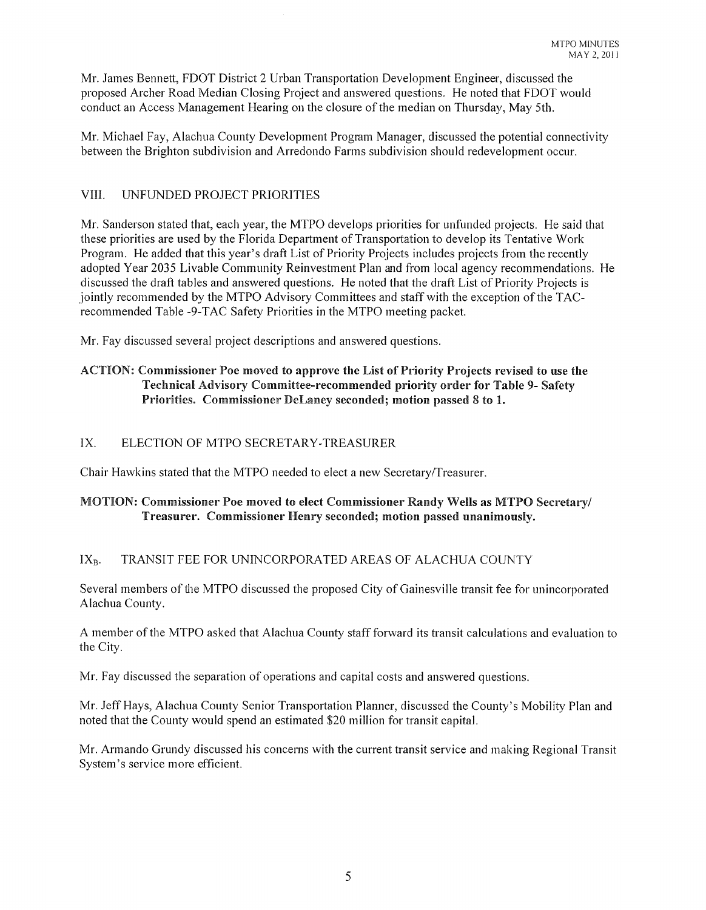Mr. James Bennett, FDOT District 2 Urban Transportation Development Engineer, discussed the proposed Archer Road Median Closing Project and answered questions. He noted that FDOT would conduct an Access Management Hearing on the closure of the median on Thursday, May 5th.

Mr. Michael Fay, Alachua County Development Program Manager, discussed the potential connectivity between the Brighton subdivision and Arredondo Farms subdivision should redevelopment occur.

# VIII. UNFUNDED PROJECT PRIORITIES

Mr. Sanderson stated that, each year, the MTPO develops priorities for unfunded projects. He said that these priorities are used by the Florida Department of Transportation to develop its Tentative Work Program. He added that this year's draft List of Priority Projects includes projects from the recently adopted Year 2035 Livable Community Reinvestment Plan and from local agency recommendations. He discussed the draft tables and answered questions. He noted that the draft List of Priority Projects is jointly recommended by the MTPO Advisory Committees and staff with the exception of the TACrecommended Table -9-TAC Safety Priorities in the MTPO meeting packet.

Mr. Fay discussed several project descriptions and answered questions.

# ACTION: Commissioner Poe moved to approve the List of Priority Projects revised to use the Technical Advisory Committee-recommended priority order for Table 9- Safety Priorities. Commissioner DeLaney seconded; motion passed 8 to 1.

# IX. ELECTION OF MTPO SECRETARY-TREASURER

Chair Hawkins stated that the MTPO needed to elect a new Secretary/Treasurer.

# MOTION: Commissioner Poe moved to elect Commissioner Randy Wells as MTPO Secretary/ Treasurer. Commissioner Henry seconded; motion passed unanimously.

# IX<sub>B</sub>. TRANSIT FEE FOR UNINCORPORATED AREAS OF ALACHUA COUNTY

Several members of the MTPO discussed the proposed City of Gainesville transit fee for unincorporated Alachua County.

A member of the MTPO asked that Alachua County staff forward its transit calculations and evaluation to the City.

Mr. Fay discussed the separation of operations and capital costs and answered questions.

Mr. Jeff Hays, Alachua County Senior Transportation Planner, discussed the County's Mobility Plan and noted that the County would spend an estimated \$20 million for transit capital.

Mr. Armando Grundy discussed his concerns with the current transit service and making Regional Transit System's service more efficient.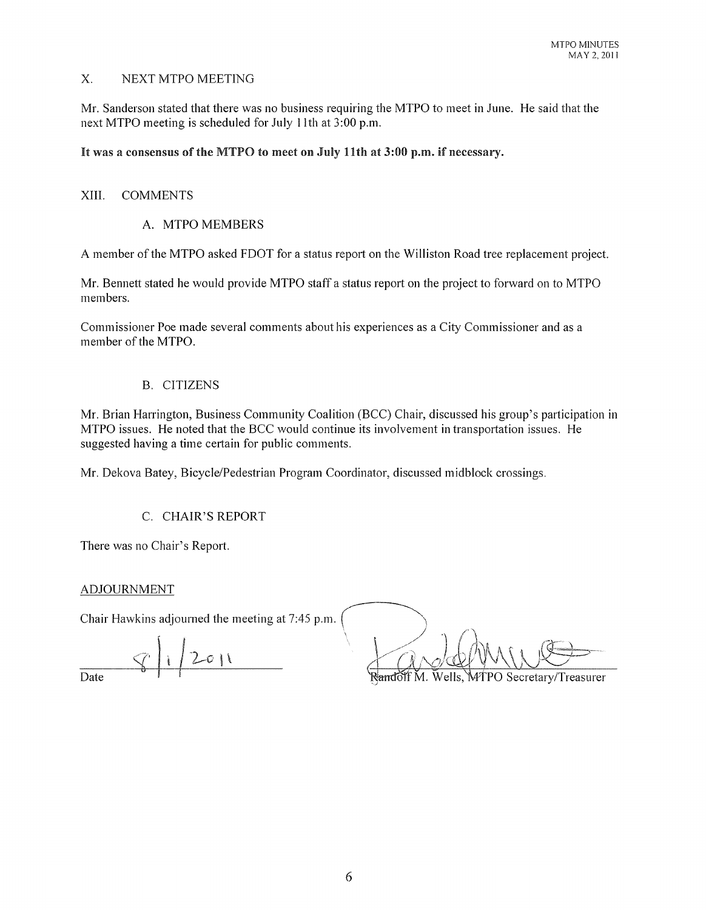# X. NEXT MTPO MEETING

Mr. Sanderson stated that there was no business requiring the MTPO to meet in June. He said that the next MTPO meeting is scheduled for July lith at 3:00 p.m.

# It was a consensus of the MTPO to meet on July 11th at 3:00 p.m. if necessary.

#### XIII. COMMENTS

## A. MTPO MEMBERS

A member of the MTPO asked FDOT for a status report on the Williston Road tree replacement project.

Mr. Bennett stated he would provide MTPO staff a status report on the project to forward on to MTPO members.

Commissioner Poe made several comments about his experiences as a City Commissioner and as a member of the MTPO.

#### B. CITIZENS

Mr. Brian Harrington, Business Community Coalition (BCC) Chair, discussed his group's participation in MTPO issues. He noted that the BCC would continue its involvement in transportation issues. He suggested having a time certain for public comments.

Mr. Dekova Batey, Bicycle/Pedestrian Program Coordinator, discussed midblock crossings.

## C. CHAIR'S REPORT

There was no Chair's Report.

## ADJOURNMENT

Chair Hawkins adjourned the meeting at 7:45 p.m.

 $2011$ Date

Wells, MTPO Secretary/Treasurer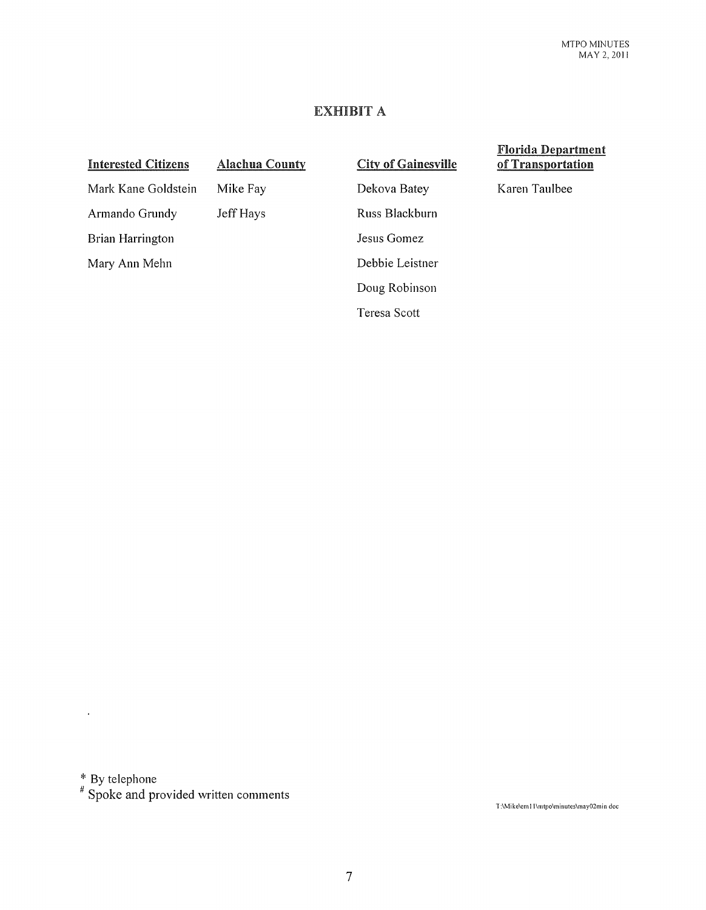# EXHIBIT A

#### Interested Citizens

# Alachua County

# City of Gainesville

Florida Department of Transportation

Karen Taulbee

Mark Kane Goldstein

Mike Fay

Dekova Batey

Armando Grundy Brian Harrington

Mary Ann Mehn

Jeff Hays

Russ Blackburn Jesus Gomez Debbie Leistner Doug Robinson Teresa Scott

 $*$  By telephone

 $\ddot{\phantom{0}}$ 

# Spoke and provided written comments

T ;\Mike\em 11\mtpo\minutes\may02min doc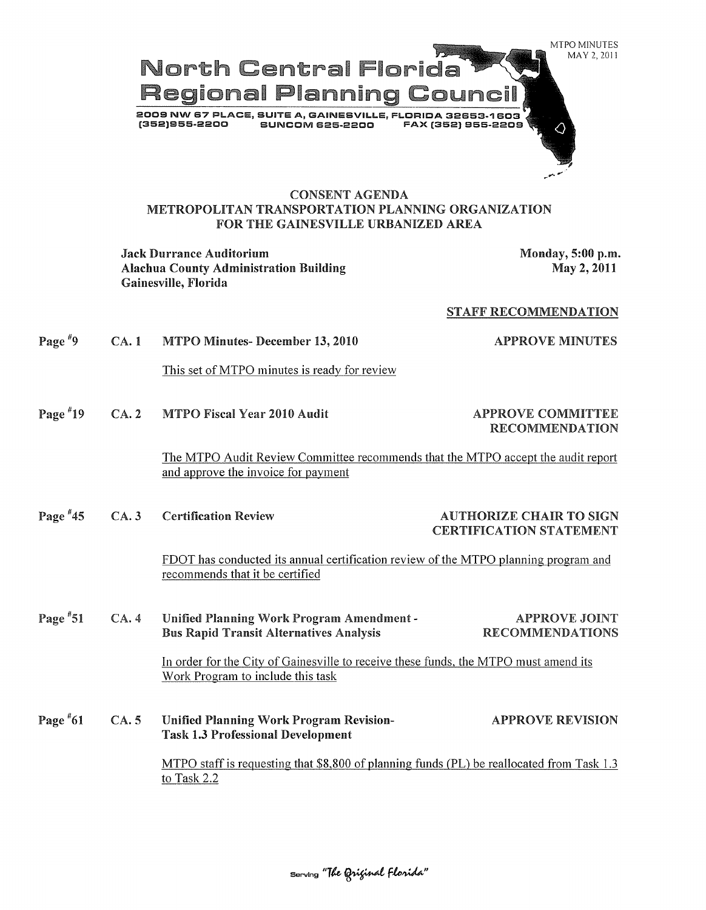

Jack Durrance Auditorium and the state of the Monday, 5:00 p.m. Alachua County Administration Building Gainesville, Florida

May 2, 2011

#### STAFF RECOMMENDATION

Page<sup>#9</sup> MTPO Minutes- December 13, 2010 APPROVE MINUTES CA. 1 This set of MTPO minutes is ready for review Page  $*19$ MTPO Fiscal Year 2010 Audit APPROVE COMMITTEE CA. 2 RECOMMENDATION The MTPO Audit Review Committee recommends that the MTPO accept the audit report and approve the invoice for payment Page #45 CA. 3 Certification Review AUTHORIZE CHAIR TO SIGN CERTIFICATION STATEMENT FDOT has conducted its annual certification review of the MTPO planning program and recommends that it be certified Page  $*51$ Unified Planning Work Program Amendment-APPROVE JOINT CA. 4 Bus Rapid Transit Alternatives Analysis RECOMMENDATIONS In order for the City of Gainesville to receive these funds, the MTPO must amend its Work Program to include this task Page  $*61$ CA. 5 Unified Planning Work Program Revision-APPROVE REVISION Task 1.3 Professional Development MTPO staff is requesting that \$8,800 of planning funds (PL) be reallocated from Task 1.3 to Task 2.2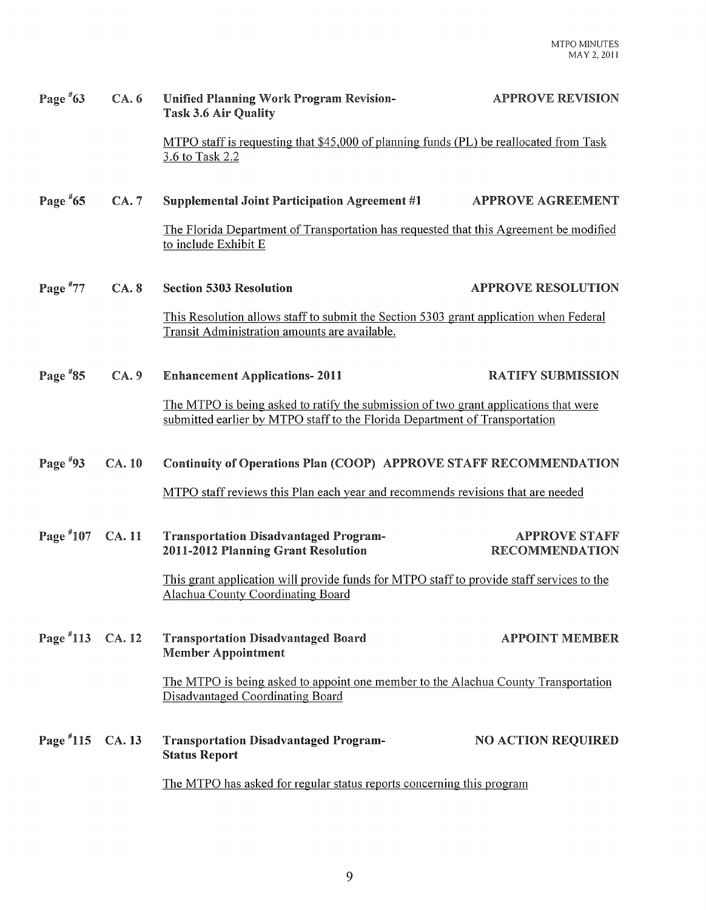| Page $*63$      | CA.6   | <b>Unified Planning Work Program Revision-</b><br><b>Task 3.6 Air Quality</b>                                                                                       | <b>APPROVE REVISION</b>                       |
|-----------------|--------|---------------------------------------------------------------------------------------------------------------------------------------------------------------------|-----------------------------------------------|
|                 |        | MTPO staff is requesting that \$45,000 of planning funds (PL) be reallocated from Task<br>3.6 to Task 2.2                                                           |                                               |
| Page $*65$      | CA.7   | <b>Supplemental Joint Participation Agreement #1</b>                                                                                                                | APPROVE AGREEMENT                             |
|                 |        | The Florida Department of Transportation has requested that this Agreement be modified<br>to include Exhibit E                                                      |                                               |
| Page $*77$      | CA.8   | <b>Section 5303 Resolution</b>                                                                                                                                      | <b>APPROVE RESOLUTION</b>                     |
|                 |        | This Resolution allows staff to submit the Section 5303 grant application when Federal<br>Transit Administration amounts are available.                             |                                               |
| Page $*85$      | CA.9   | <b>Enhancement Applications-2011</b>                                                                                                                                | <b>RATIFY SUBMISSION</b>                      |
|                 |        | The MTPO is being asked to ratify the submission of two grant applications that were<br>submitted earlier by MTPO staff to the Florida Department of Transportation |                                               |
| Page $*93$      | CA. 10 | Continuity of Operations Plan (COOP) APPROVE STAFF RECOMMENDATION                                                                                                   |                                               |
|                 |        | MTPO staff reviews this Plan each year and recommends revisions that are needed                                                                                     |                                               |
| Page #107       | CA. 11 | <b>Transportation Disadvantaged Program-</b><br>2011-2012 Planning Grant Resolution                                                                                 | <b>APPROVE STAFF</b><br><b>RECOMMENDATION</b> |
|                 |        | This grant application will provide funds for MTPO staff to provide staff services to the<br><b>Alachua County Coordinating Board</b>                               |                                               |
| Page $^{\#}113$ | CA. 12 | <b>Transportation Disadvantaged Board</b><br><b>Member Appointment</b>                                                                                              | <b>APPOINT MEMBER</b>                         |
|                 |        | The MTPO is being asked to appoint one member to the Alachua County Transportation<br><b>Disadvantaged Coordinating Board</b>                                       |                                               |
| Page $*115$     | CA.13  | <b>Transportation Disadvantaged Program-</b><br><b>Status Report</b>                                                                                                | <b>NO ACTION REQUIRED</b>                     |
|                 |        | The MTPO has asked for regular status reports concerning this program                                                                                               |                                               |